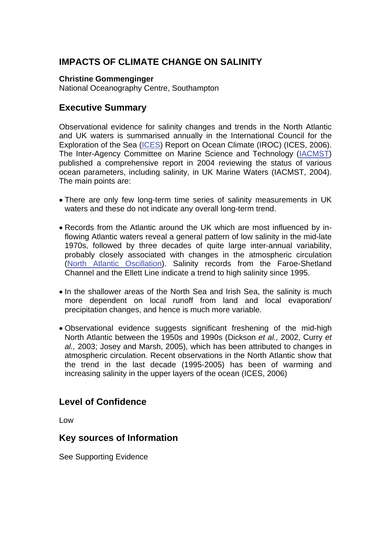# **IMPACTS OF CLIMATE CHANGE ON SALINITY**

**Christine Gommenginger** National Oceanography Centre, Southampton

## **Executive Summary**

Observational evidence for salinity changes and trends in the North Atlantic and UK waters is summarised annually in the International Council for the Exploration of the Sea [\(ICES\)](http://www.mccip.org.uk/arc/glossary.htm) Report on Ocean Climate (IROC) (ICES, 2006). The Inter-Agency Committee on Marine Science and Technology [\(IACMST\)](http://www.mccip.org.uk/arc/glossary.htm) published a comprehensive report in 2004 reviewing the status of various ocean parameters, including salinity, in UK Marine Waters (IACMST, 2004). The main points are:

- There are only few long-term time series of salinity measurements in UK waters and these do not indicate any overall long-term trend.
- Records from the Atlantic around the UK which are most influenced by inflowing Atlantic waters reveal a general pattern of low salinity in the mid-late 1970s, followed by three decades of quite large inter-annual variability, probably closely associated with changes in the atmospheric circulation [\(North Atlantic Oscillation\).](http://www.mccip.org.uk/arc/glossary.htm) Salinity records from the Faroe-Shetland Channel and the Ellett Line indicate a trend to high salinity since 1995.
- In the shallower areas of the North Sea and Irish Sea, the salinity is much more dependent on local runoff from land and local evaporation/ precipitation changes, and hence is much more variable.
- Observational evidence suggests significant freshening of the mid-high North Atlantic between the 1950s and 1990s (Dickson *et al.,* 2002, Curry *et al.,* 2003; Josey and Marsh, 2005), which has been attributed to changes in atmospheric circulation. Recent observations in the North Atlantic show that the trend in the last decade (1995-2005) has been of warming and increasing salinity in the upper layers of the ocean (ICES, 2006)

## **Level of Confidence**

Low

### **Key sources of Information**

See Supporting Evidence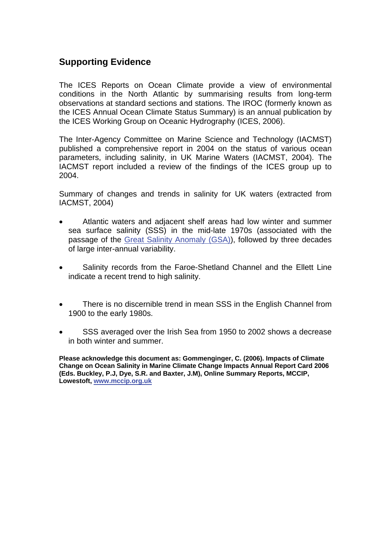## **Supporting Evidence**

The ICES Reports on Ocean Climate provide a view of environmental conditions in the North Atlantic by summarising results from long-term observations at standard sections and stations. The IROC (formerly known as the ICES Annual Ocean Climate Status Summary) is an annual publication by the ICES Working Group on Oceanic Hydrography (ICES, 2006).

The Inter-Agency Committee on Marine Science and Technology (IACMST) published a comprehensive report in 2004 on the status of various ocean parameters, including salinity, in UK Marine Waters (IACMST, 2004). The IACMST report included a review of the findings of the ICES group up to 2004.

Summary of changes and trends in salinity for UK waters (extracted from IACMST, 2004)

- Atlantic waters and adjacent shelf areas had low winter and summer sea surface salinity (SSS) in the mid-late 1970s (associated with the passage of the [Great Salinity Anomaly \(GSA\)\),](http://www.mccip.org.uk/arc/glossary.htm) followed by three decades of large inter-annual variability.
- Salinity records from the Faroe-Shetland Channel and the Ellett Line indicate a recent trend to high salinity.
- There is no discernible trend in mean SSS in the English Channel from 1900 to the early 1980s.
- SSS averaged over the Irish Sea from 1950 to 2002 shows a decrease in both winter and summer.

**Please acknowledge this document as: Gommenginger, C. (2006). Impacts of Climate Change on Ocean Salinity in Marine Climate Change Impacts Annual Report Card 2006 (Eds. Buckley, P.J, Dye, S.R. and Baxter, J.M), Online Summary Reports, MCCIP, Lowestoft, [www.mccip.org.uk](http://www.mccip.org.uk/)**